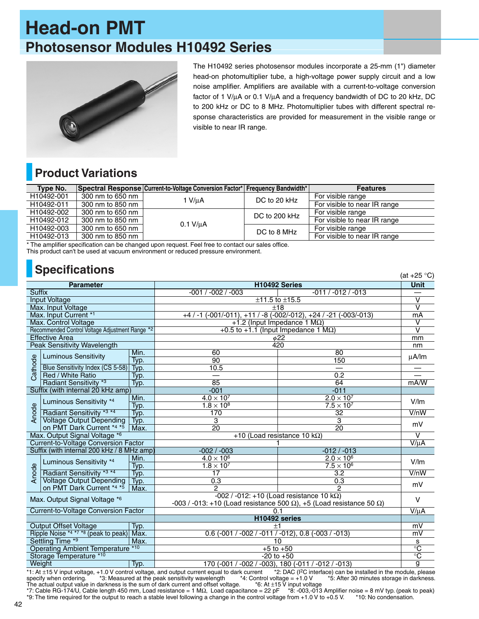# **Head-on PMT Photosensor Modules H10492 Series**



The H10492 series photosensor modules incorporate a 25-mm (1") diameter head-on photomultiplier tube, a high-voltage power supply circuit and a low noise amplifier. Amplifiers are available with a current-to-voltage conversion factor of 1 V/µA or 0.1 V/µA and a frequency bandwidth of DC to 20 kHz, DC to 200 kHz or DC to 8 MHz. Photomultiplier tubes with different spectral response characteristics are provided for measurement in the visible range or visible to near IR range.

 $(21.0500)$ 

## **Product Variations**

| Type No.   |                  | Spectral Response Current-to-Voltage Conversion Factor* Frequency Bandwidth* |               | <b>Features</b>              |
|------------|------------------|------------------------------------------------------------------------------|---------------|------------------------------|
| H10492-001 | 300 nm to 650 nm | 1 V/uA                                                                       | DC to 20 kHz  | For visible range            |
| H10492-011 | 300 nm to 850 nm |                                                                              |               | For visible to near IR range |
| H10492-002 | 300 nm to 650 nm | $0.1$ V/ $\mu$ A                                                             | DC to 200 kHz | For visible range            |
| H10492-012 | 300 nm to 850 nm |                                                                              |               | For visible to near IR range |
| H10492-003 | 300 nm to 650 nm |                                                                              | DC to 8 MHz   | For visible range            |
| H10492-013 | 300 nm to 850 nm |                                                                              |               | For visible to near IR range |

\* The amplifier specification can be changed upon request. Feel free to contact our sales office. This product can't be used at vacuum environment or reduced pressure environment.

#### **Specifications**

| H10492 Series<br><b>Unit</b><br><b>Parameter</b><br><b>Suffix</b><br>-011 / -012 / -013<br>$-001 / -002 / -003$<br>$\overline{\mathsf{v}}$<br><b>Input Voltage</b><br>$±11.5$ to $±15.5$<br>$\overline{\mathsf{v}}$<br>Max. Input Voltage<br>±18<br>$+4$ / -1 (-001/-011), +11 / -8 (-002/-012), +24 / -21 (-003/-013)<br>Max. Input Current *1<br>mA<br>٧<br>Max. Control Voltage<br>+1.2 (Input Impedance 1 $M\Omega$ )<br>$\overline{\mathsf{v}}$<br>Recommended Control Voltage Adjustment Range *2<br>+0.5 to +1.1 (Input Impedance 1 $M\Omega$ )<br><b>Effective Area</b><br>$\phi$ 22<br>mm<br><b>Peak Sensitivity Wavelength</b><br>420<br>nm<br>60<br>80<br>Min.<br><b>Luminous Sensitivity</b><br>$\mu$ A/lm<br>Cathode<br>Typ.<br>90<br>150<br>10.5<br>Blue Sensitivity Index (CS 5-58)<br>Typ.<br>Red / White Ratio<br>$\overline{0.2}$<br>Typ.<br>Radiant Sensitivity <sup>*3</sup><br>85<br>64<br>mA/W<br>Typ.<br>$-011$<br>Suffix (with internal 20 kHz amp)<br>$-001$<br>$4.0 \times 10^{7}$<br>$2.0 \times 10^7$<br>Min.<br>Luminous Sensitivity *4<br>V/m<br>Anode<br>$1.8 \times 10^{8}$<br>$7.5 \times 10^{7}$<br>Typ.<br>Radiant Sensitivity *3 *4<br>170<br>32<br>V/nW<br>Typ.<br><b>Voltage Output Depending</b><br>3<br>3<br>Typ.<br>mV<br>on PMT Dark Current *4 *5<br>Max.<br>20<br>20<br>Max. Output Signal Voltage *6<br>+10 (Load resistance 10 k $\Omega$ )<br>$\vee$<br>$V/\mu A$<br><b>Current-to-Voltage Conversion Factor</b><br>$-002 / -003$<br>$-012/ -013$<br>Suffix (with internal 200 kHz / 8 MHz amp)<br>$4.0 \times 10^6$<br>$2.0 \times 10^6$<br>Min.<br>Luminous Sensitivity *4<br>V/Im<br>Anode<br>$7.5 \times 10^6$<br>$1.8 \times 10^7$<br>Typ.<br>$\overline{3.2}$<br>V/nW<br>Radiant Sensitivity *3 *4<br>17<br>Typ.<br><b>Voltage Output Depending</b><br>0.3<br>0.3<br>Typ.<br>mV<br>on PMT Dark Current *4 *5<br>Max.<br>2<br>2<br>$-002$ / $-012$ : $+10$ (Load resistance 10 kΩ)<br>Max. Output Signal Voltage *6<br>$\vee$<br>-003 / -013: +10 (Load resistance 500 Ω), +5 (Load resistance 50 Ω)<br>$V/\mu A$<br>Current-to-Voltage Conversion Factor<br>0.1<br>H10492 series<br><b>Output Offset Voltage</b><br>mV<br>$^{\mathrm{+1}}$ |                                   |  |  |                                                            |  |  |  |
|-------------------------------------------------------------------------------------------------------------------------------------------------------------------------------------------------------------------------------------------------------------------------------------------------------------------------------------------------------------------------------------------------------------------------------------------------------------------------------------------------------------------------------------------------------------------------------------------------------------------------------------------------------------------------------------------------------------------------------------------------------------------------------------------------------------------------------------------------------------------------------------------------------------------------------------------------------------------------------------------------------------------------------------------------------------------------------------------------------------------------------------------------------------------------------------------------------------------------------------------------------------------------------------------------------------------------------------------------------------------------------------------------------------------------------------------------------------------------------------------------------------------------------------------------------------------------------------------------------------------------------------------------------------------------------------------------------------------------------------------------------------------------------------------------------------------------------------------------------------------------------------------------------------------------------------------------------------------------------------------------------------------------------------------------------------------------------------------------------------------------------------------------------------------------------------------------|-----------------------------------|--|--|------------------------------------------------------------|--|--|--|
|                                                                                                                                                                                                                                                                                                                                                                                                                                                                                                                                                                                                                                                                                                                                                                                                                                                                                                                                                                                                                                                                                                                                                                                                                                                                                                                                                                                                                                                                                                                                                                                                                                                                                                                                                                                                                                                                                                                                                                                                                                                                                                                                                                                                 |                                   |  |  |                                                            |  |  |  |
|                                                                                                                                                                                                                                                                                                                                                                                                                                                                                                                                                                                                                                                                                                                                                                                                                                                                                                                                                                                                                                                                                                                                                                                                                                                                                                                                                                                                                                                                                                                                                                                                                                                                                                                                                                                                                                                                                                                                                                                                                                                                                                                                                                                                 |                                   |  |  |                                                            |  |  |  |
|                                                                                                                                                                                                                                                                                                                                                                                                                                                                                                                                                                                                                                                                                                                                                                                                                                                                                                                                                                                                                                                                                                                                                                                                                                                                                                                                                                                                                                                                                                                                                                                                                                                                                                                                                                                                                                                                                                                                                                                                                                                                                                                                                                                                 |                                   |  |  |                                                            |  |  |  |
|                                                                                                                                                                                                                                                                                                                                                                                                                                                                                                                                                                                                                                                                                                                                                                                                                                                                                                                                                                                                                                                                                                                                                                                                                                                                                                                                                                                                                                                                                                                                                                                                                                                                                                                                                                                                                                                                                                                                                                                                                                                                                                                                                                                                 |                                   |  |  |                                                            |  |  |  |
|                                                                                                                                                                                                                                                                                                                                                                                                                                                                                                                                                                                                                                                                                                                                                                                                                                                                                                                                                                                                                                                                                                                                                                                                                                                                                                                                                                                                                                                                                                                                                                                                                                                                                                                                                                                                                                                                                                                                                                                                                                                                                                                                                                                                 |                                   |  |  |                                                            |  |  |  |
|                                                                                                                                                                                                                                                                                                                                                                                                                                                                                                                                                                                                                                                                                                                                                                                                                                                                                                                                                                                                                                                                                                                                                                                                                                                                                                                                                                                                                                                                                                                                                                                                                                                                                                                                                                                                                                                                                                                                                                                                                                                                                                                                                                                                 |                                   |  |  |                                                            |  |  |  |
|                                                                                                                                                                                                                                                                                                                                                                                                                                                                                                                                                                                                                                                                                                                                                                                                                                                                                                                                                                                                                                                                                                                                                                                                                                                                                                                                                                                                                                                                                                                                                                                                                                                                                                                                                                                                                                                                                                                                                                                                                                                                                                                                                                                                 |                                   |  |  |                                                            |  |  |  |
|                                                                                                                                                                                                                                                                                                                                                                                                                                                                                                                                                                                                                                                                                                                                                                                                                                                                                                                                                                                                                                                                                                                                                                                                                                                                                                                                                                                                                                                                                                                                                                                                                                                                                                                                                                                                                                                                                                                                                                                                                                                                                                                                                                                                 |                                   |  |  |                                                            |  |  |  |
|                                                                                                                                                                                                                                                                                                                                                                                                                                                                                                                                                                                                                                                                                                                                                                                                                                                                                                                                                                                                                                                                                                                                                                                                                                                                                                                                                                                                                                                                                                                                                                                                                                                                                                                                                                                                                                                                                                                                                                                                                                                                                                                                                                                                 |                                   |  |  |                                                            |  |  |  |
|                                                                                                                                                                                                                                                                                                                                                                                                                                                                                                                                                                                                                                                                                                                                                                                                                                                                                                                                                                                                                                                                                                                                                                                                                                                                                                                                                                                                                                                                                                                                                                                                                                                                                                                                                                                                                                                                                                                                                                                                                                                                                                                                                                                                 |                                   |  |  |                                                            |  |  |  |
|                                                                                                                                                                                                                                                                                                                                                                                                                                                                                                                                                                                                                                                                                                                                                                                                                                                                                                                                                                                                                                                                                                                                                                                                                                                                                                                                                                                                                                                                                                                                                                                                                                                                                                                                                                                                                                                                                                                                                                                                                                                                                                                                                                                                 |                                   |  |  |                                                            |  |  |  |
|                                                                                                                                                                                                                                                                                                                                                                                                                                                                                                                                                                                                                                                                                                                                                                                                                                                                                                                                                                                                                                                                                                                                                                                                                                                                                                                                                                                                                                                                                                                                                                                                                                                                                                                                                                                                                                                                                                                                                                                                                                                                                                                                                                                                 |                                   |  |  |                                                            |  |  |  |
|                                                                                                                                                                                                                                                                                                                                                                                                                                                                                                                                                                                                                                                                                                                                                                                                                                                                                                                                                                                                                                                                                                                                                                                                                                                                                                                                                                                                                                                                                                                                                                                                                                                                                                                                                                                                                                                                                                                                                                                                                                                                                                                                                                                                 |                                   |  |  |                                                            |  |  |  |
|                                                                                                                                                                                                                                                                                                                                                                                                                                                                                                                                                                                                                                                                                                                                                                                                                                                                                                                                                                                                                                                                                                                                                                                                                                                                                                                                                                                                                                                                                                                                                                                                                                                                                                                                                                                                                                                                                                                                                                                                                                                                                                                                                                                                 |                                   |  |  |                                                            |  |  |  |
|                                                                                                                                                                                                                                                                                                                                                                                                                                                                                                                                                                                                                                                                                                                                                                                                                                                                                                                                                                                                                                                                                                                                                                                                                                                                                                                                                                                                                                                                                                                                                                                                                                                                                                                                                                                                                                                                                                                                                                                                                                                                                                                                                                                                 |                                   |  |  |                                                            |  |  |  |
|                                                                                                                                                                                                                                                                                                                                                                                                                                                                                                                                                                                                                                                                                                                                                                                                                                                                                                                                                                                                                                                                                                                                                                                                                                                                                                                                                                                                                                                                                                                                                                                                                                                                                                                                                                                                                                                                                                                                                                                                                                                                                                                                                                                                 |                                   |  |  |                                                            |  |  |  |
|                                                                                                                                                                                                                                                                                                                                                                                                                                                                                                                                                                                                                                                                                                                                                                                                                                                                                                                                                                                                                                                                                                                                                                                                                                                                                                                                                                                                                                                                                                                                                                                                                                                                                                                                                                                                                                                                                                                                                                                                                                                                                                                                                                                                 |                                   |  |  |                                                            |  |  |  |
|                                                                                                                                                                                                                                                                                                                                                                                                                                                                                                                                                                                                                                                                                                                                                                                                                                                                                                                                                                                                                                                                                                                                                                                                                                                                                                                                                                                                                                                                                                                                                                                                                                                                                                                                                                                                                                                                                                                                                                                                                                                                                                                                                                                                 |                                   |  |  |                                                            |  |  |  |
|                                                                                                                                                                                                                                                                                                                                                                                                                                                                                                                                                                                                                                                                                                                                                                                                                                                                                                                                                                                                                                                                                                                                                                                                                                                                                                                                                                                                                                                                                                                                                                                                                                                                                                                                                                                                                                                                                                                                                                                                                                                                                                                                                                                                 |                                   |  |  |                                                            |  |  |  |
|                                                                                                                                                                                                                                                                                                                                                                                                                                                                                                                                                                                                                                                                                                                                                                                                                                                                                                                                                                                                                                                                                                                                                                                                                                                                                                                                                                                                                                                                                                                                                                                                                                                                                                                                                                                                                                                                                                                                                                                                                                                                                                                                                                                                 |                                   |  |  |                                                            |  |  |  |
|                                                                                                                                                                                                                                                                                                                                                                                                                                                                                                                                                                                                                                                                                                                                                                                                                                                                                                                                                                                                                                                                                                                                                                                                                                                                                                                                                                                                                                                                                                                                                                                                                                                                                                                                                                                                                                                                                                                                                                                                                                                                                                                                                                                                 |                                   |  |  |                                                            |  |  |  |
|                                                                                                                                                                                                                                                                                                                                                                                                                                                                                                                                                                                                                                                                                                                                                                                                                                                                                                                                                                                                                                                                                                                                                                                                                                                                                                                                                                                                                                                                                                                                                                                                                                                                                                                                                                                                                                                                                                                                                                                                                                                                                                                                                                                                 |                                   |  |  |                                                            |  |  |  |
|                                                                                                                                                                                                                                                                                                                                                                                                                                                                                                                                                                                                                                                                                                                                                                                                                                                                                                                                                                                                                                                                                                                                                                                                                                                                                                                                                                                                                                                                                                                                                                                                                                                                                                                                                                                                                                                                                                                                                                                                                                                                                                                                                                                                 |                                   |  |  |                                                            |  |  |  |
|                                                                                                                                                                                                                                                                                                                                                                                                                                                                                                                                                                                                                                                                                                                                                                                                                                                                                                                                                                                                                                                                                                                                                                                                                                                                                                                                                                                                                                                                                                                                                                                                                                                                                                                                                                                                                                                                                                                                                                                                                                                                                                                                                                                                 |                                   |  |  |                                                            |  |  |  |
|                                                                                                                                                                                                                                                                                                                                                                                                                                                                                                                                                                                                                                                                                                                                                                                                                                                                                                                                                                                                                                                                                                                                                                                                                                                                                                                                                                                                                                                                                                                                                                                                                                                                                                                                                                                                                                                                                                                                                                                                                                                                                                                                                                                                 |                                   |  |  |                                                            |  |  |  |
|                                                                                                                                                                                                                                                                                                                                                                                                                                                                                                                                                                                                                                                                                                                                                                                                                                                                                                                                                                                                                                                                                                                                                                                                                                                                                                                                                                                                                                                                                                                                                                                                                                                                                                                                                                                                                                                                                                                                                                                                                                                                                                                                                                                                 |                                   |  |  |                                                            |  |  |  |
|                                                                                                                                                                                                                                                                                                                                                                                                                                                                                                                                                                                                                                                                                                                                                                                                                                                                                                                                                                                                                                                                                                                                                                                                                                                                                                                                                                                                                                                                                                                                                                                                                                                                                                                                                                                                                                                                                                                                                                                                                                                                                                                                                                                                 |                                   |  |  |                                                            |  |  |  |
|                                                                                                                                                                                                                                                                                                                                                                                                                                                                                                                                                                                                                                                                                                                                                                                                                                                                                                                                                                                                                                                                                                                                                                                                                                                                                                                                                                                                                                                                                                                                                                                                                                                                                                                                                                                                                                                                                                                                                                                                                                                                                                                                                                                                 |                                   |  |  |                                                            |  |  |  |
|                                                                                                                                                                                                                                                                                                                                                                                                                                                                                                                                                                                                                                                                                                                                                                                                                                                                                                                                                                                                                                                                                                                                                                                                                                                                                                                                                                                                                                                                                                                                                                                                                                                                                                                                                                                                                                                                                                                                                                                                                                                                                                                                                                                                 |                                   |  |  |                                                            |  |  |  |
|                                                                                                                                                                                                                                                                                                                                                                                                                                                                                                                                                                                                                                                                                                                                                                                                                                                                                                                                                                                                                                                                                                                                                                                                                                                                                                                                                                                                                                                                                                                                                                                                                                                                                                                                                                                                                                                                                                                                                                                                                                                                                                                                                                                                 |                                   |  |  |                                                            |  |  |  |
|                                                                                                                                                                                                                                                                                                                                                                                                                                                                                                                                                                                                                                                                                                                                                                                                                                                                                                                                                                                                                                                                                                                                                                                                                                                                                                                                                                                                                                                                                                                                                                                                                                                                                                                                                                                                                                                                                                                                                                                                                                                                                                                                                                                                 |                                   |  |  |                                                            |  |  |  |
|                                                                                                                                                                                                                                                                                                                                                                                                                                                                                                                                                                                                                                                                                                                                                                                                                                                                                                                                                                                                                                                                                                                                                                                                                                                                                                                                                                                                                                                                                                                                                                                                                                                                                                                                                                                                                                                                                                                                                                                                                                                                                                                                                                                                 |                                   |  |  |                                                            |  |  |  |
|                                                                                                                                                                                                                                                                                                                                                                                                                                                                                                                                                                                                                                                                                                                                                                                                                                                                                                                                                                                                                                                                                                                                                                                                                                                                                                                                                                                                                                                                                                                                                                                                                                                                                                                                                                                                                                                                                                                                                                                                                                                                                                                                                                                                 | Typ.                              |  |  |                                                            |  |  |  |
| Ripple Noise *4 *7 *8 (peak to peak) Max.<br>mV                                                                                                                                                                                                                                                                                                                                                                                                                                                                                                                                                                                                                                                                                                                                                                                                                                                                                                                                                                                                                                                                                                                                                                                                                                                                                                                                                                                                                                                                                                                                                                                                                                                                                                                                                                                                                                                                                                                                                                                                                                                                                                                                                 | Settling Time *9<br>Max.          |  |  | $0.6$ (-001 / -002 / -011 / -012), 0.8 (-003 / -013)<br>10 |  |  |  |
| s<br>$\overline{\text{C}}$<br>$+5$ to $+50$                                                                                                                                                                                                                                                                                                                                                                                                                                                                                                                                                                                                                                                                                                                                                                                                                                                                                                                                                                                                                                                                                                                                                                                                                                                                                                                                                                                                                                                                                                                                                                                                                                                                                                                                                                                                                                                                                                                                                                                                                                                                                                                                                     | Operating Ambient Temperature *10 |  |  |                                                            |  |  |  |
| Storage Temperature *10<br>$\overline{\text{C}}$<br>$-20$ to $+50$                                                                                                                                                                                                                                                                                                                                                                                                                                                                                                                                                                                                                                                                                                                                                                                                                                                                                                                                                                                                                                                                                                                                                                                                                                                                                                                                                                                                                                                                                                                                                                                                                                                                                                                                                                                                                                                                                                                                                                                                                                                                                                                              |                                   |  |  |                                                            |  |  |  |
| g                                                                                                                                                                                                                                                                                                                                                                                                                                                                                                                                                                                                                                                                                                                                                                                                                                                                                                                                                                                                                                                                                                                                                                                                                                                                                                                                                                                                                                                                                                                                                                                                                                                                                                                                                                                                                                                                                                                                                                                                                                                                                                                                                                                               | Weight<br>Typ.                    |  |  |                                                            |  |  |  |
| *1: At +15 V input voltage +1 0 V control voltage and output current equal to dark current $\rightarrow$ 2: DAC ( $\beta$ C interface) can be installed in the module please                                                                                                                                                                                                                                                                                                                                                                                                                                                                                                                                                                                                                                                                                                                                                                                                                                                                                                                                                                                                                                                                                                                                                                                                                                                                                                                                                                                                                                                                                                                                                                                                                                                                                                                                                                                                                                                                                                                                                                                                                    |                                   |  |  | 170 (-001 / -002 / -003), 180 (-011 / -012 / -013)         |  |  |  |

\*1: At ±15 V input voltage, +1.0 V control voltage, and output current equal to dark current \*2: DAC (I2C interface) can be installed in the module, please specify when ordering. \*3: Measured at the peak sensitivity wavelength \*4: Control voltage = +1.0 V \*5: After 30 minutes storage in darkness. The actual output value in darkness is the sum of dark current and offset voltage. \*6: At ±15 V input voltage

\*7: Cable RG-174/U, Cable length 450 mm, Load resistance = 1 MΩ, Load capacitance = 22 pF \*8: -003,-013 Amplifier noise = 8 mV typ. (peak to peak)<br>\*9: The time required for the output to reach a stable level following a c